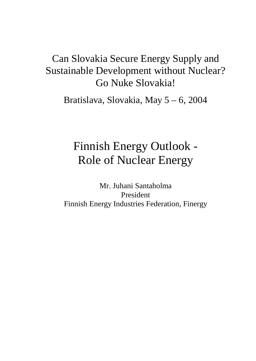## Can Slovakia Secure Energy Supply and Sustainable Development without Nuclear? Go Nuke Slovakia!

Bratislava, Slovakia, May 5 – 6, 2004

# Finnish Energy Outlook - Role of Nuclear Energy

Mr. Juhani Santaholma President Finnish Energy Industries Federation, Finergy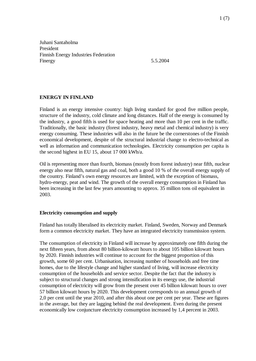Juhani Santaholma President Finnish Energy Industries Federation Finergy 5.5.2004

#### **ENERGY IN FINLAND**

Finland is an energy intensive country: high living standard for good five million people, structure of the industry, cold climate and long distances. Half of the energy is consumed by the industry, a good fifth is used for space heating and more than 10 per cent in the traffic. Traditionally, the basic industry (forest industry, heavy metal and chemical industry) is very energy consuming. These industries will also in the future be the cornerstones of the Finnish economical development, despite of the structural industrial change to electro-technical as well as information and communication technologies. Electricity consumption per capita is the second highest in EU 15, about 17 000 kWh/a.

Oil is representing more than fourth, biomass (mostly from forest industry) near fifth, nuclear energy also near fifth, natural gas and coal, both a good 10 % of the overall energy supply of the country. Finland's own energy resources are limited, with the exception of biomass, hydro-energy, peat and wind. The growth of the overall energy consumption in Finland has been increasing in the last few years amounting to approx. 35 million tons oil equivalent in 2003.

#### **Electricity consumption and supply**

Finland has totally liberalised its electricity market. Finland, Sweden, Norway and Denmark form a common electricity market. They have an integrated electricity transmission system.

The consumption of electricity in Finland will increase by approximately one fifth during the next fifteen years, from about 80 billion-kilowatt hours to about 105 billion kilowatt hours by 2020. Finnish industries will continue to account for the biggest proportion of this growth, some 60 per cent. Urbanisation, increasing number of households and free time homes, due to the lifestyle change and higher standard of living, will increase electricity consumption of the households and service sector. Despite the fact that the industry is subject to structural changes and strong intensification in its energy use, the industrial consumption of electricity will grow from the present over 45 billion kilowatt hours to over 57 billion kilowatt hours by 2020. This development corresponds to an annual growth of 2,0 per cent until the year 2010, and after this about one per cent per year. These are figures in the average, but they are lagging behind the real development. Even during the present economically low conjuncture electricity consumption increased by 1,4 percent in 2003.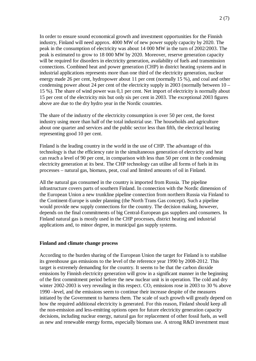In order to ensure sound economical growth and investment opportunities for the Finnish industry, Finland will need approx. 4000 MW of new power supply capacity by 2020. The peak in the consumption of electricity was about 14 000 MW in the turn of 2002/2003. The peak is estimated to grow to 18 000 MW by 2020. Moreover, reserve generation capacity will be required for disorders in electricity generation, availability of fuels and transmission connections. Combined heat and power generation (CHP) in district heating systems and in industrial applications represents more than one third of the electricity generation, nuclear energy made 26 per cent, hydropower about 11 per cent (normally 15 %), and coal and other condensing power about 24 per cent of the electricity supply in 2003 (normally between 10 – 15 %). The share of wind power was 0,1 per cent. Net import of electricity is normally about 15 per cent of the electricity mix but only six per cent in 2003. The exceptional 2003 figures above are due to the dry hydro year in the Nordic countries.

The share of the industry of the electricity consumption is over 50 per cent, the forest industry using more than half of the total industrial use. The households and agriculture about one quarter and services and the public sector less than fifth, the electrical heating representing good 10 per cent.

Finland is the leading country in the world in the use of CHP. The advantage of this technology is that the efficiency rate in the simultaneous generation of electricity and heat can reach a level of 90 per cent, in comparison with less than 50 per cent in the condensing electricity generation at its best. The CHP technology can utilise all forms of fuels in its processes – natural gas, biomass, peat, coal and limited amounts of oil in Finland.

All the natural gas consumed in the country is imported from Russia. The pipeline infrastructure covers parts of southern Finland. In connection with the Nordic dimension of the European Union a new trunkline pipeline connection from northern Russia via Finland to the Continent-Europe is under planning (the North Trans Gas concept). Such a pipeline would provide new supply connections for the country. The decision making, however, depends on the final commitments of big Central-European gas suppliers and consumers. In Finland natural gas is mostly used in the CHP processes, district heating and industrial applications and, to minor degree, in municipal gas supply systems.

#### **Finland and climate change process**

According to the burden sharing of the European Union the target for Finland is to stabilise its greenhouse gas emissions to the level of the reference year 1990 by 2008-2012. This target is extremely demanding for the country. It seems to be that the carbon dioxide emissions by Finnish electricity generation will grow in a significant manner in the beginning of the first commitment period before the new nuclear unit is in operation. The cold and dry winter 2002-2003 is very revealing in this respect.  $CO<sub>2</sub>$  emissions rose in 2003 to 30 % above 1990 –level, and the emissions seem to continue their increase despite of the measures initiated by the Government to harness them. The scale of such growth will greatly depend on how the required additional electricity is generated. For this reason, Finland should keep all the non-emission and less-emitting options open for future electricity generation capacity decisions, including nuclear energy, natural gas for replacement of other fossil fuels, as well as new and renewable energy forms, especially biomass use. A strong R&D investment must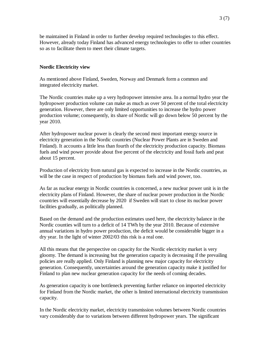be maintained in Finland in order to further develop required technologies to this effect. However, already today Finland has advanced energy technologies to offer to other countries so as to facilitate them to meet their climate targets.

#### **Nordic Electricity view**

As mentioned above Finland, Sweden, Norway and Denmark form a common and integrated electricity market.

The Nordic countries make up a very hydropower intensive area. In a normal hydro year the hydropower production volume can make as much as over 50 percent of the total electricity generation. However, there are only limited opportunities to increase the hydro power production volume; consequently, its share of Nordic will go down below 50 percent by the year 2010.

After hydropower nuclear power is clearly the second most important energy source in electricity generation in the Nordic countries (Nuclear Power Plants are in Sweden and Finland). It accounts a little less than fourth of the electricity production capacity. Biomass fuels and wind power provide about five percent of the electricity and fossil fuels and peat about 15 percent.

Production of electricity from natural gas is expected to increase in the Nordic countries, as will be the case in respect of production by biomass fuels and wind power, too.

As far as nuclear energy in Nordic countries is concerned, a new nuclear power unit is in the electricity plans of Finland. However, the share of nuclear power production in the Nordic countries will essentially decrease by 2020 if Sweden will start to close its nuclear power facilities gradually, as politically planned.

Based on the demand and the production estimates used here, the electricity balance in the Nordic counties will turn to a deficit of 14 TWh by the year 2010. Because of extensive annual variations in hydro power production, the deficit would be considerable bigger in a dry year. In the light of winter 2002/03 this risk is a real one.

All this means that the perspective on capacity for the Nordic electricity market is very gloomy. The demand is increasing but the generation capacity is decreasing if the prevailing policies are really applied. Only Finland is planning new major capacity for electricity generation. Consequently, uncertainties around the generation capacity make it justified for Finland to plan new nuclear generation capacity for the needs of coming decades.

As generation capacity is one bottleneck preventing further reliance on imported electricity for Finland from the Nordic market, the other is limited international electricity transmission capacity.

In the Nordic electricity market, electricity transmission volumes between Nordic countries vary considerably due to variations between different hydropower years. The significant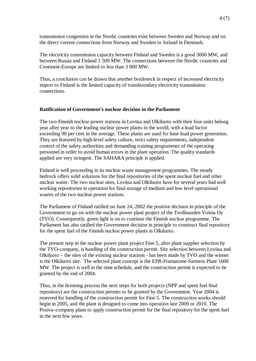transmission congestion in the Nordic countries exist between Sweden and Norway and on the direct current connections from Norway and Sweden to Jutland in Denmark.

The electricity transmission capacity between Finland and Sweden is a good 3000 MW, and between Russia and Finland 1 500 MW. The connections between the Nordic countries and Continent-Europe are limited to less than 3 000 MW.

Thus, a conclusion can be drawn that another bottleneck in respect of increased electricity import to Finland is the limited capacity of transboundary electricity transmission connections.

#### **Ratification of Government's nuclear decision in the Parliament**

The two Finnish nuclear power stations in Loviisa and Olkiluoto with their four units belong year after year to the leading nuclear power plants in the world, with a load factor exceeding 90 per cent in the average. These plants are used for base load power generation. They are featured by high-level safety culture, strict safety requirements, independent control of the safety authorities and demanding training programmes of the operating personnel in order to avoid human errors in the plant operation. The quality standards applied are very stringent. The SAHARA principle is applied.

Finland is well proceeding in its nuclear waste management programmes. The steady bedrock offers solid solutions for the final repositories of the spent nuclear fuel and other nuclear waste. The two nuclear sites, Loviisa and Olkiluoto have for several years had well working repositories in operation for final storage of medium and low level operational wastes of the two nuclear power stations.

The Parliament of Finland ratified on June 24, 2002 the positive decision in principle of the Government to go on with the nuclear power plant project of the Teollisuuden Voima Oy (TVO). Consequently, green light is on to continue the Finnish nuclear programme. The Parliament has also ratified the Government decision in principle to construct final repository for the spent fuel of the Finnish nuclear power plants in Olkiluoto.

The present step in the nuclear power plant project Finn 5, after plant supplier selection by the TVO-company, is handling of the construction permit. Site selection between Loviisa and Olkiluoto – the sites of the existing nuclear stations - has been made by TVO and the winner is the Olkiluoto site. The selected plant concept is the EPR-Framatome-Siemens Plant 1600 MW. The project is well in the time schedule, and the construction permit is expected to be granted by the end of 2004.

Thus, in the licensing process the next steps for both projects (NPP and spent fuel final repository) are the construction permits to be granted by the Government. Year 2004 is reserved for handling of the construction permit for Finn 5. The construction works should begin in 2005, and the plant is designed to come into operation late 2009 or 2010. The Posiva–company plans to apply construction permit for the final repository for the spent fuel in the next few years.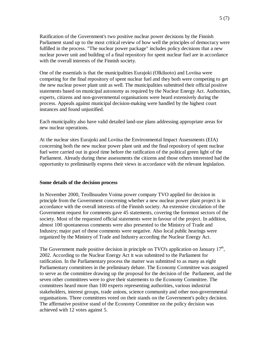Ratification of the Government's two positive nuclear power decisions by the Finnish Parliament stand up to the most critical review of how well the principles of democracy were fulfilled in the process. "The nuclear power package" includes policy decisions that a new nuclear power unit and building of a final repository for spent nuclear fuel are in accordance with the overall interests of the Finnish society.

One of the essentials is that the municipalities Eurajoki (Olkiluoto) and Loviisa were competing for the final repository of spent nuclear fuel and they both were competing to get the new nuclear power plant unit as well. The municipalities submitted their official positive statements based on municipal autonomy as required by the Nuclear Energy Act. Authorities, experts, citizens and non-governmental organisations were heard extensively during the process. Appeals against municipal decision-making were handled by the highest court instances and found unjustified.

Each municipality also have valid detailed land-use plans addressing appropriate areas for new nuclear operations.

At the nuclear sites Eurajoki and Loviisa the Environmental Impact Assessments (EIA) concerning both the new nuclear power plant unit and the final repository of spent nuclear fuel were carried out in good time before the ratification of the political green light of the Parliament. Already during these assessments the citizens and those others interested had the opportunity to preliminarily express their views in accordance with the relevant legislation.

#### **Some details of the decision process**

In November 2000, Teollisuuden Voima power company TVO applied for decision in principle from the Government concerning whether a new nuclear power plant project is in accordance with the overall interests of the Finnish society. An extensive circulation of the Government request for comments gave 45 statements, covering the foremost sectors of the society. Most of the requested official statements were in favour of the project. In addition, almost 100 spontaneous comments were also presented to the Ministry of Trade and Industry; major part of these comments were negative. Also local public hearings were organized by the Ministry of Trade and Industry according the Nuclear Energy Act.

The Government made positive decision in principle on TVO's application on January  $17<sup>th</sup>$ , 2002. According to the Nuclear Energy Act it was submitted to the Parliament for ratification. In the Parliamentary process the matter was submitted to as many as eight Parliamentary committees in the preliminary debate. The Economy Committee was assigned to serve as the committee drawing up the proposal for the decision of the Parliament, and the seven other committees were to give their statements to the Economy Committee. The committees heard more than 100 experts representing authorities, various industrial stakeholders, interest groups, trade unions, science community and other non-governmental organisations. Three committees voted on their stands on the Government's policy decision. The affirmative positive stand of the Economy Committee on the policy decision was achieved with 12 votes against 5.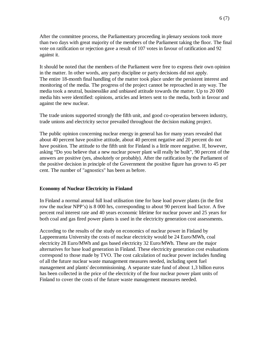After the committee process, the Parliamentary proceeding in plenary sessions took more than two days with great majority of the members of the Parliament taking the floor. The final vote on ratification or rejection gave a result of 107 votes in favour of ratification and 92 against it.

It should be noted that the members of the Parliament were free to express their own opinion in the matter. In other words, any party discipline or party decisions did not apply. The entire 18-month final handling of the matter took place under the persistent interest and monitoring of the media. The progress of the project cannot be reproached in any way. The media took a neutral, businesslike and unbiased attitude towards the matter. Up to 20 000 media hits were identified: opinions, articles and letters sent to the media, both in favour and against the new nuclear.

The trade unions supported strongly the fifth unit, and good co-operation between industry, trade unions and electricity sector prevailed throughout the decision making project.

The public opinion concerning nuclear energy in general has for many years revealed that about 40 percent have positive attitude, about 40 percent negative and 20 percent do not have position. The attitude to the fifth unit for Finland is a little more negative. If, however, asking "Do you believe that a new nuclear power plant will really be built", 90 percent of the answers are positive (yes, absolutely or probably). After the ratification by the Parliament of the positive decision in principle of the Government the positive figure has grown to 45 per cent. The number of "agnostics" has been as before.

#### **Economy of Nuclear Electricity in Finland**

In Finland a normal annual full load utilisation time for base load power plants (in the first row the nuclear NPP's) is 8 000 hrs, corresponding to about 90 percent load factor. A five percent real interest rate and 40 years economic lifetime for nuclear power and 25 years for both coal and gas fired power plants is used in the electricity generation cost assessments.

According to the results of the study on economics of nuclear power in Finland by Lappeenranta University the costs of nuclear electricity would be 24 Euro/MWh, coal electricity 28 Euro/MWh and gas based electricity 32 Euro/MWh. These are the major alternatives for base load generation in Finland. These electricity generation cost evaluations correspond to those made by TVO. The cost calculation of nuclear power includes funding of all the future nuclear waste management measures needed, including spent fuel management and plants' decommissioning. A separate state fund of about 1,3 billion euros has been collected in the price of the electricity of the four nuclear power plant units of Finland to cover the costs of the future waste management measures needed.